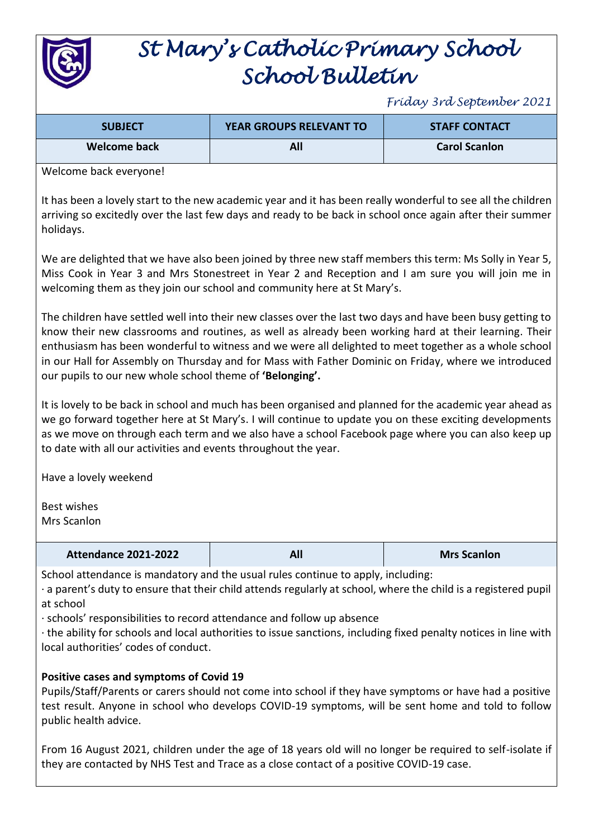

# *St Mary's Catholic Primary School School Bulletin*

*Friday 3rd September 2021*

| <b>SUBJECT</b> | <b>YEAR GROUPS RELEVANT TO</b> | <b>STAFF CONTACT</b> |
|----------------|--------------------------------|----------------------|
| Welcome back   | All                            | <b>Carol Scanlon</b> |

Welcome back everyone!

It has been a lovely start to the new academic year and it has been really wonderful to see all the children arriving so excitedly over the last few days and ready to be back in school once again after their summer holidays.

We are delighted that we have also been joined by three new staff members this term: Ms Solly in Year 5, Miss Cook in Year 3 and Mrs Stonestreet in Year 2 and Reception and I am sure you will join me in welcoming them as they join our school and community here at St Mary's.

The children have settled well into their new classes over the last two days and have been busy getting to know their new classrooms and routines, as well as already been working hard at their learning. Their enthusiasm has been wonderful to witness and we were all delighted to meet together as a whole school in our Hall for Assembly on Thursday and for Mass with Father Dominic on Friday, where we introduced our pupils to our new whole school theme of **'Belonging'.**

It is lovely to be back in school and much has been organised and planned for the academic year ahead as we go forward together here at St Mary's. I will continue to update you on these exciting developments as we move on through each term and we also have a school Facebook page where you can also keep up to date with all our activities and events throughout the year.

Have a lovely weekend

Best wishes Mrs Scanlon

| <b>Attendance 2021-2022</b> |  | <b>Mrs Scanlon</b> |
|-----------------------------|--|--------------------|
|-----------------------------|--|--------------------|

School attendance is mandatory and the usual rules continue to apply, including:

· a parent's duty to ensure that their child attends regularly at school, where the child is a registered pupil at school

· schools' responsibilities to record attendance and follow up absence

· the ability for schools and local authorities to issue sanctions, including fixed penalty notices in line with local authorities' codes of conduct.

## **Positive cases and symptoms of Covid 19**

Pupils/Staff/Parents or carers should not come into school if they have symptoms or have had a positive test result. Anyone in school who develops COVID-19 symptoms, will be sent home and told to follow public health advice.

From 16 August 2021, children under the age of 18 years old will no longer be required to self-isolate if they are contacted by NHS Test and Trace as a close contact of a positive COVID-19 case.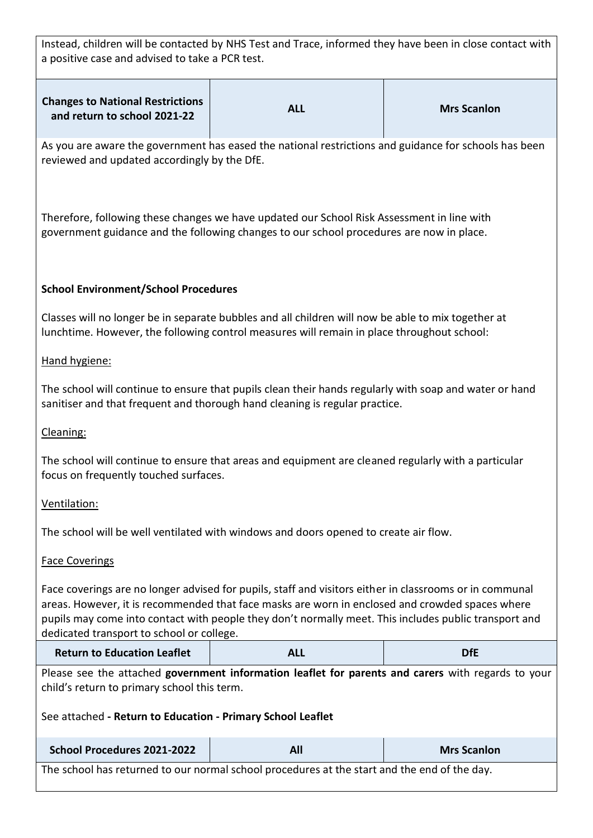Instead, children will be contacted by NHS Test and Trace, informed they have been in close contact with a positive case and advised to take a PCR test.

| <b>Changes to National Restrictions</b><br>and return to school 2021-22 | ALL | <b>Mrs Scanlon</b> |
|-------------------------------------------------------------------------|-----|--------------------|
|                                                                         |     |                    |

As you are aware the government has eased the national restrictions and guidance for schools has been reviewed and updated accordingly by the DfE.

Therefore, following these changes we have updated our School Risk Assessment in line with government guidance and the following changes to our school procedures are now in place.

## **School Environment/School Procedures**

Classes will no longer be in separate bubbles and all children will now be able to mix together at lunchtime. However, the following control measures will remain in place throughout school:

#### Hand hygiene:

The school will continue to ensure that pupils clean their hands regularly with soap and water or hand sanitiser and that frequent and thorough hand cleaning is regular practice.

## Cleaning:

The school will continue to ensure that areas and equipment are cleaned regularly with a particular focus on frequently touched surfaces.

## Ventilation:

The school will be well ventilated with windows and doors opened to create air flow.

#### Face Coverings

Face coverings are no longer advised for pupils, staff and visitors either in classrooms or in communal areas. However, it is recommended that face masks are worn in enclosed and crowded spaces where pupils may come into contact with people they don't normally meet. This includes public transport and dedicated transport to school or college.

| <b>Return to Education Leaflet</b> | ALL | <b>DfL</b> |
|------------------------------------|-----|------------|
|------------------------------------|-----|------------|

Please see the attached **government information leaflet for parents and carers** with regards to your child's return to primary school this term.

See attached **- Return to Education - Primary School Leaflet**

| School Procedures 2021-2022 | All | <b>Mrs Scanlon</b> |
|-----------------------------|-----|--------------------|
| $-$                         |     |                    |

The school has returned to our normal school procedures at the start and the end of the day.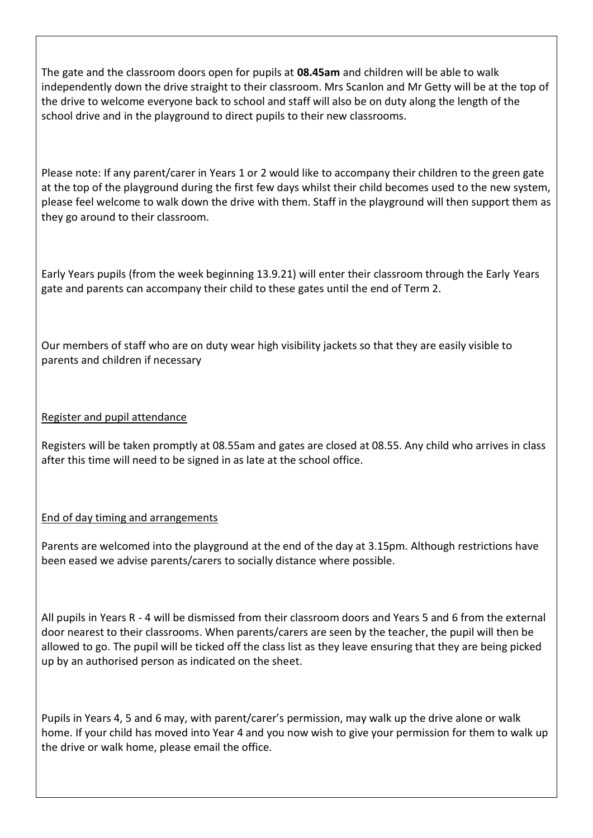The gate and the classroom doors open for pupils at **08.45am** and children will be able to walk independently down the drive straight to their classroom. Mrs Scanlon and Mr Getty will be at the top of the drive to welcome everyone back to school and staff will also be on duty along the length of the school drive and in the playground to direct pupils to their new classrooms.

Please note: If any parent/carer in Years 1 or 2 would like to accompany their children to the green gate at the top of the playground during the first few days whilst their child becomes used to the new system, please feel welcome to walk down the drive with them. Staff in the playground will then support them as they go around to their classroom.

Early Years pupils (from the week beginning 13.9.21) will enter their classroom through the Early Years gate and parents can accompany their child to these gates until the end of Term 2.

Our members of staff who are on duty wear high visibility jackets so that they are easily visible to parents and children if necessary

## Register and pupil attendance

Registers will be taken promptly at 08.55am and gates are closed at 08.55. Any child who arrives in class after this time will need to be signed in as late at the school office.

## End of day timing and arrangements

Parents are welcomed into the playground at the end of the day at 3.15pm. Although restrictions have been eased we advise parents/carers to socially distance where possible.

All pupils in Years R - 4 will be dismissed from their classroom doors and Years 5 and 6 from the external door nearest to their classrooms. When parents/carers are seen by the teacher, the pupil will then be allowed to go. The pupil will be ticked off the class list as they leave ensuring that they are being picked up by an authorised person as indicated on the sheet.

Pupils in Years 4, 5 and 6 may, with parent/carer's permission, may walk up the drive alone or walk home. If your child has moved into Year 4 and you now wish to give your permission for them to walk up the drive or walk home, please email the office.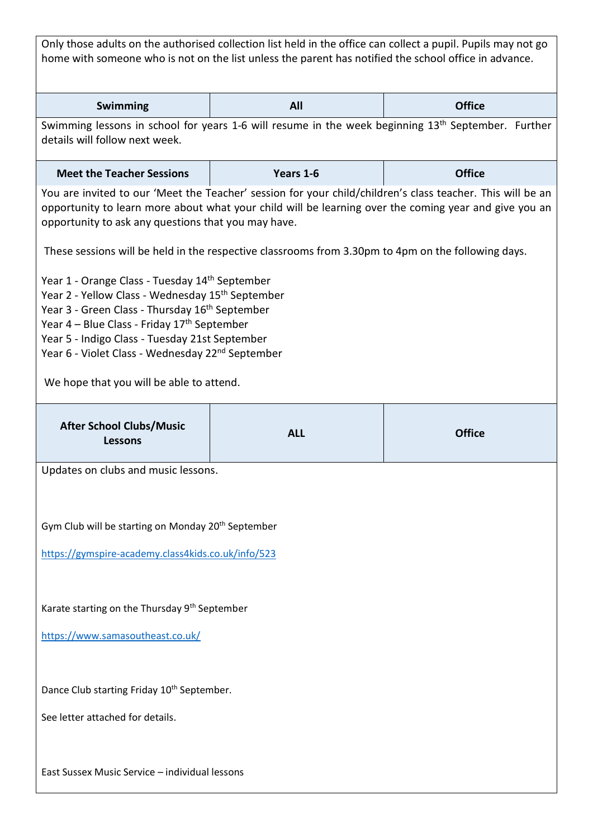Only those adults on the authorised collection list held in the office can collect a pupil. Pupils may not go home with someone who is not on the list unless the parent has notified the school office in advance.

| S<br><b>Swimming</b><br>1ttice<br>. .<br>$\sim$<br>____ |
|---------------------------------------------------------|
|---------------------------------------------------------|

Swimming lessons in school for years 1-6 will resume in the week beginning 13<sup>th</sup> September. Further details will follow next week.

| <b>Meet the Teacher Sessions</b> | Years 1-6 | <b>Office</b> |
|----------------------------------|-----------|---------------|
|----------------------------------|-----------|---------------|

You are invited to our 'Meet the Teacher' session for your child/children's class teacher. This will be an opportunity to learn more about what your child will be learning over the coming year and give you an opportunity to ask any questions that you may have.

These sessions will be held in the respective classrooms from 3.30pm to 4pm on the following days.

Year 1 - Orange Class - Tuesday 14<sup>th</sup> September

Year 2 - Yellow Class - Wednesday 15<sup>th</sup> September

Year 3 - Green Class - Thursday 16<sup>th</sup> September

Year 4 – Blue Class - Friday 17<sup>th</sup> September

Year 5 - Indigo Class - Tuesday 21st September

Year 6 - Violet Class - Wednesday 22<sup>nd</sup> September

We hope that you will be able to attend.

| <b>After School Clubs/Music</b><br><b>Lessons</b>              | <b>ALL</b> | <b>Office</b> |
|----------------------------------------------------------------|------------|---------------|
| Updates on clubs and music lessons.                            |            |               |
| Gym Club will be starting on Monday 20 <sup>th</sup> September |            |               |
| https://gymspire-academy.class4kids.co.uk/info/523             |            |               |
| Karate starting on the Thursday 9 <sup>th</sup> September      |            |               |
| https://www.samasoutheast.co.uk/                               |            |               |
| Dance Club starting Friday 10 <sup>th</sup> September.         |            |               |
| See letter attached for details.                               |            |               |
| East Sussex Music Service - individual lessons                 |            |               |